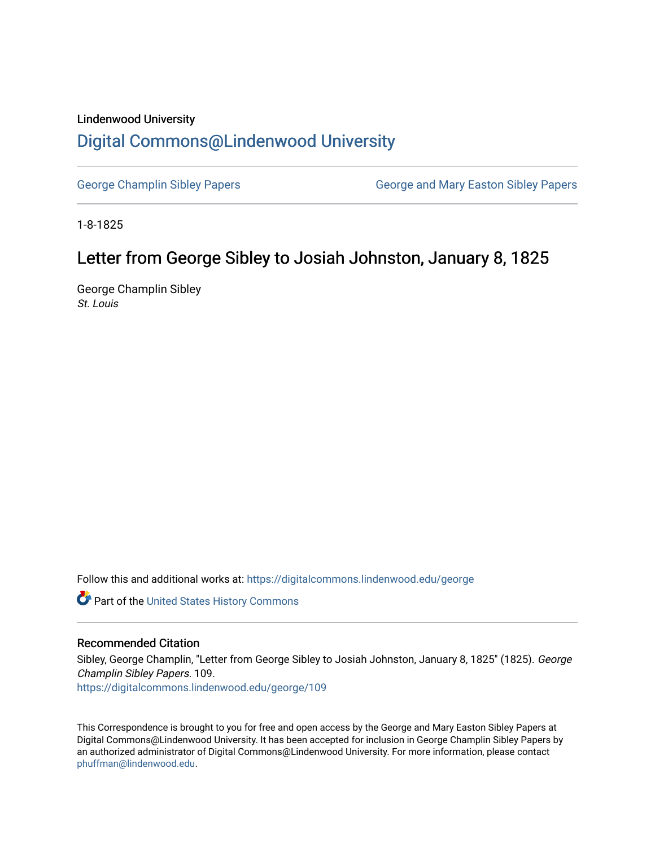### Lindenwood University

# [Digital Commons@Lindenwood University](https://digitalcommons.lindenwood.edu/)

[George Champlin Sibley Papers](https://digitalcommons.lindenwood.edu/george) George and Mary Easton Sibley Papers

1-8-1825

# Letter from George Sibley to Josiah Johnston, January 8, 1825

George Champlin Sibley St. Louis

Follow this and additional works at: [https://digitalcommons.lindenwood.edu/george](https://digitalcommons.lindenwood.edu/george?utm_source=digitalcommons.lindenwood.edu%2Fgeorge%2F109&utm_medium=PDF&utm_campaign=PDFCoverPages)

Part of the [United States History Commons](http://network.bepress.com/hgg/discipline/495?utm_source=digitalcommons.lindenwood.edu%2Fgeorge%2F109&utm_medium=PDF&utm_campaign=PDFCoverPages) 

### Recommended Citation

Sibley, George Champlin, "Letter from George Sibley to Josiah Johnston, January 8, 1825" (1825). George Champlin Sibley Papers. 109.

[https://digitalcommons.lindenwood.edu/george/109](https://digitalcommons.lindenwood.edu/george/109?utm_source=digitalcommons.lindenwood.edu%2Fgeorge%2F109&utm_medium=PDF&utm_campaign=PDFCoverPages)

This Correspondence is brought to you for free and open access by the George and Mary Easton Sibley Papers at Digital Commons@Lindenwood University. It has been accepted for inclusion in George Champlin Sibley Papers by an authorized administrator of Digital Commons@Lindenwood University. For more information, please contact [phuffman@lindenwood.edu](mailto:phuffman@lindenwood.edu).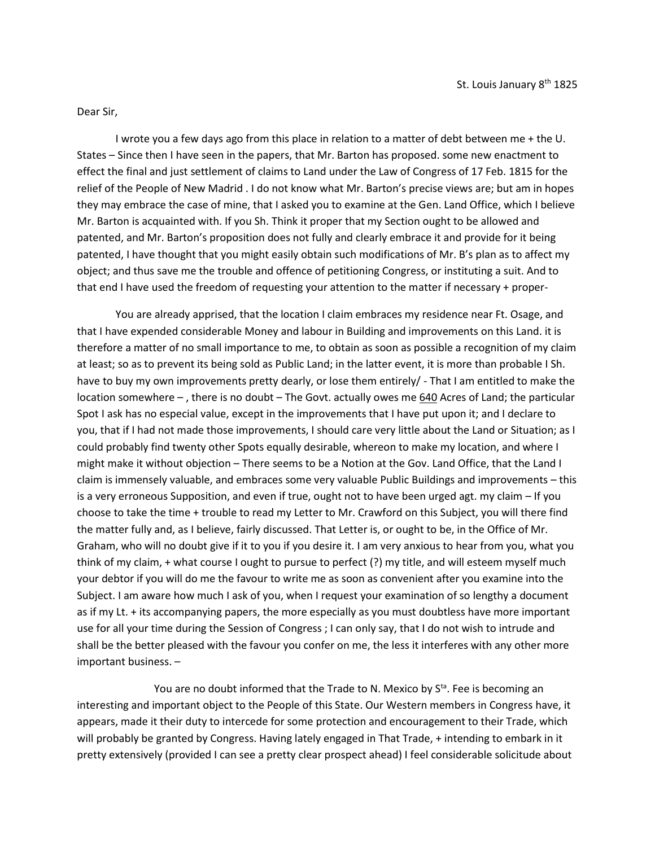#### Dear Sir,

I wrote you a few days ago from this place in relation to a matter of debt between me + the U. States – Since then I have seen in the papers, that Mr. Barton has proposed. some new enactment to effect the final and just settlement of claims to Land under the Law of Congress of 17 Feb. 1815 for the relief of the People of New Madrid . I do not know what Mr. Barton's precise views are; but am in hopes they may embrace the case of mine, that I asked you to examine at the Gen. Land Office, which I believe Mr. Barton is acquainted with. If you Sh. Think it proper that my Section ought to be allowed and patented, and Mr. Barton's proposition does not fully and clearly embrace it and provide for it being patented, I have thought that you might easily obtain such modifications of Mr. B's plan as to affect my object; and thus save me the trouble and offence of petitioning Congress, or instituting a suit. And to that end I have used the freedom of requesting your attention to the matter if necessary + proper-

You are already apprised, that the location I claim embraces my residence near Ft. Osage, and that I have expended considerable Money and labour in Building and improvements on this Land. it is therefore a matter of no small importance to me, to obtain as soon as possible a recognition of my claim at least; so as to prevent its being sold as Public Land; in the latter event, it is more than probable I Sh. have to buy my own improvements pretty dearly, or lose them entirely/ - That I am entitled to make the location somewhere – , there is no doubt – The Govt. actually owes me 640 Acres of Land; the particular Spot I ask has no especial value, except in the improvements that I have put upon it; and I declare to you, that if I had not made those improvements, I should care very little about the Land or Situation; as I could probably find twenty other Spots equally desirable, whereon to make my location, and where I might make it without objection – There seems to be a Notion at the Gov. Land Office, that the Land I claim is immensely valuable, and embraces some very valuable Public Buildings and improvements – this is a very erroneous Supposition, and even if true, ought not to have been urged agt. my claim – If you choose to take the time + trouble to read my Letter to Mr. Crawford on this Subject, you will there find the matter fully and, as I believe, fairly discussed. That Letter is, or ought to be, in the Office of Mr. Graham, who will no doubt give if it to you if you desire it. I am very anxious to hear from you, what you think of my claim, + what course I ought to pursue to perfect (?) my title, and will esteem myself much your debtor if you will do me the favour to write me as soon as convenient after you examine into the Subject. I am aware how much I ask of you, when I request your examination of so lengthy a document as if my Lt. + its accompanying papers, the more especially as you must doubtless have more important use for all your time during the Session of Congress ; I can only say, that I do not wish to intrude and shall be the better pleased with the favour you confer on me, the less it interferes with any other more important business. –

You are no doubt informed that the Trade to N. Mexico by S<sup>ta</sup>. Fee is becoming an interesting and important object to the People of this State. Our Western members in Congress have, it appears, made it their duty to intercede for some protection and encouragement to their Trade, which will probably be granted by Congress. Having lately engaged in That Trade, + intending to embark in it pretty extensively (provided I can see a pretty clear prospect ahead) I feel considerable solicitude about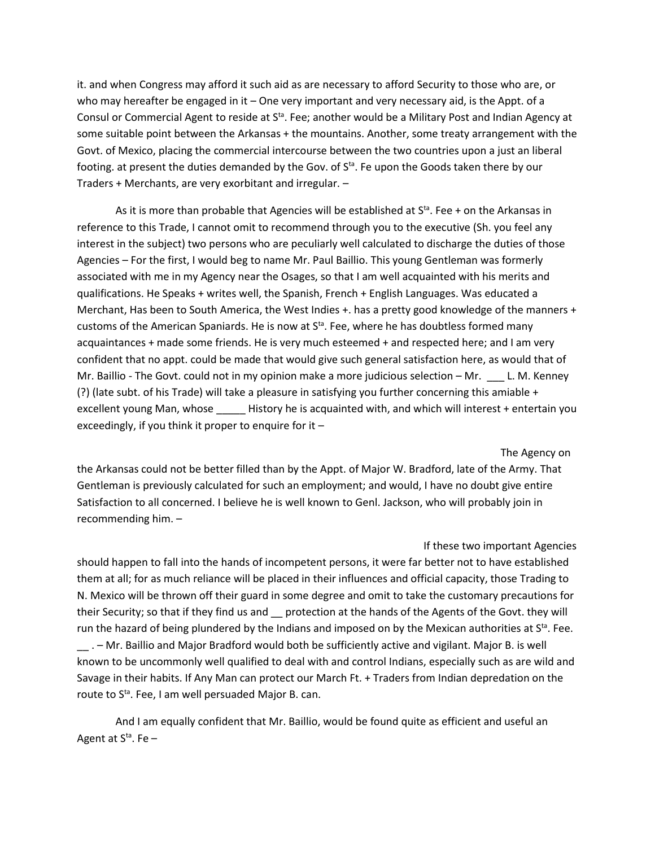it. and when Congress may afford it such aid as are necessary to afford Security to those who are, or who may hereafter be engaged in it – One very important and very necessary aid, is the Appt. of a Consul or Commercial Agent to reside at S<sup>ta</sup>. Fee; another would be a Military Post and Indian Agency at some suitable point between the Arkansas + the mountains. Another, some treaty arrangement with the Govt. of Mexico, placing the commercial intercourse between the two countries upon a just an liberal footing. at present the duties demanded by the Gov. of  $S<sup>ta</sup>$ . Fe upon the Goods taken there by our Traders + Merchants, are very exorbitant and irregular. –

As it is more than probable that Agencies will be established at  $S<sup>ta</sup>$ . Fee + on the Arkansas in reference to this Trade, I cannot omit to recommend through you to the executive (Sh. you feel any interest in the subject) two persons who are peculiarly well calculated to discharge the duties of those Agencies – For the first, I would beg to name Mr. Paul Baillio. This young Gentleman was formerly associated with me in my Agency near the Osages, so that I am well acquainted with his merits and qualifications. He Speaks + writes well, the Spanish, French + English Languages. Was educated a Merchant, Has been to South America, the West Indies +. has a pretty good knowledge of the manners + customs of the American Spaniards. He is now at S<sup>ta</sup>. Fee, where he has doubtless formed many acquaintances + made some friends. He is very much esteemed + and respected here; and I am very confident that no appt. could be made that would give such general satisfaction here, as would that of Mr. Baillio - The Govt. could not in my opinion make a more judicious selection - Mr. L. M. Kenney (?) (late subt. of his Trade) will take a pleasure in satisfying you further concerning this amiable + excellent young Man, whose History he is acquainted with, and which will interest + entertain you exceedingly, if you think it proper to enquire for it  $-$ 

The Agency on the Arkansas could not be better filled than by the Appt. of Major W. Bradford, late of the Army. That Gentleman is previously calculated for such an employment; and would, I have no doubt give entire Satisfaction to all concerned. I believe he is well known to Genl. Jackson, who will probably join in recommending him. –

#### If these two important Agencies

should happen to fall into the hands of incompetent persons, it were far better not to have established them at all; for as much reliance will be placed in their influences and official capacity, those Trading to N. Mexico will be thrown off their guard in some degree and omit to take the customary precautions for their Security; so that if they find us and \_\_ protection at the hands of the Agents of the Govt. they will run the hazard of being plundered by the Indians and imposed on by the Mexican authorities at  $S^{ta}$ . Fee. \_\_ . – Mr. Baillio and Major Bradford would both be sufficiently active and vigilant. Major B. is well known to be uncommonly well qualified to deal with and control Indians, especially such as are wild and Savage in their habits. If Any Man can protect our March Ft. + Traders from Indian depredation on the route to S<sup>ta</sup>. Fee, I am well persuaded Major B. can.

And I am equally confident that Mr. Baillio, would be found quite as efficient and useful an Agent at  $S^{ta}$ . Fe –